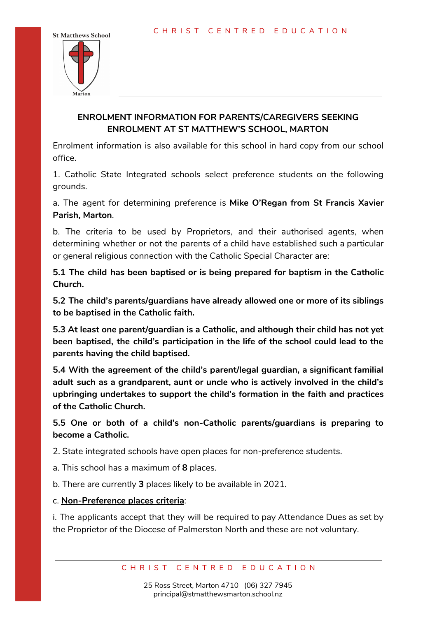

## **ENROLMENT INFORMATION FOR PARENTS/CAREGIVERS SEEKING ENROLMENT AT ST MATTHEW'S SCHOOL, MARTON**

Enrolment information is also available for this school in hard copy from our school office.

1. Catholic State Integrated schools select preference students on the following grounds.

a. The agent for determining preference is **Mike O'Regan from St Francis Xavier Parish, Marton**.

b. The criteria to be used by Proprietors, and their authorised agents, when determining whether or not the parents of a child have established such a particular or general religious connection with the Catholic Special Character are:

**5.1 The child has been baptised or is being prepared for baptism in the Catholic Church.**

**5.2 The child's parents/guardians have already allowed one or more of its siblings to be baptised in the Catholic faith.**

**5.3 At least one parent/guardian is a Catholic, and although their child has not yet been baptised, the child's participation in the life of the school could lead to the parents having the child baptised.**

**5.4 With the agreement of the child's parent/legal guardian, a significant familial adult such as a grandparent, aunt or uncle who is actively involved in the child's upbringing undertakes to support the child's formation in the faith and practices of the Catholic Church.**

**5.5 One or both of a child's non-Catholic parents/guardians is preparing to become a Catholic.**

2. State integrated schools have open places for non-preference students.

a. This school has a maximum of **8** places.

b. There are currently **3** places likely to be available in 2021.

c. **Non-Preference places criteria**:

i. The applicants accept that they will be required to pay Attendance Dues as set by the Proprietor of the Diocese of Palmerston North and these are not voluntary.